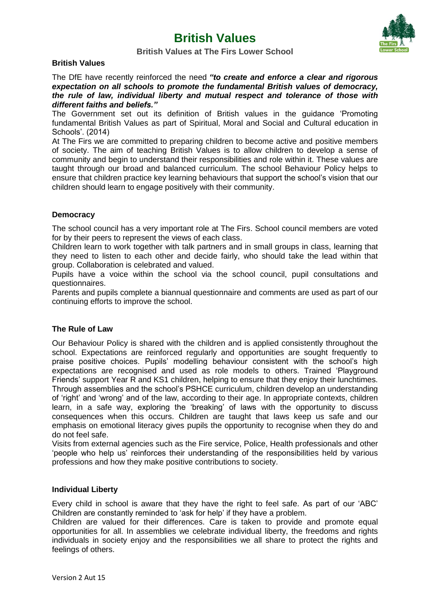# **British Values**



## **British Values at The Firs Lower School**

#### **British Values**

The DfE have recently reinforced the need *"to create and enforce a clear and rigorous expectation on all schools to promote the fundamental British values of democracy, the rule of law, individual liberty and mutual respect and tolerance of those with different faiths and beliefs."*

The Government set out its definition of British values in the guidance 'Promoting fundamental British Values as part of Spiritual, Moral and Social and Cultural education in Schools'. (2014)

At The Firs we are committed to preparing children to become active and positive members of society. The aim of teaching British Values is to allow children to develop a sense of community and begin to understand their responsibilities and role within it. These values are taught through our broad and balanced curriculum. The school Behaviour Policy helps to ensure that children practice key learning behaviours that support the school's vision that our children should learn to engage positively with their community.

## **Democracy**

The school council has a very important role at The Firs. School council members are voted for by their peers to represent the views of each class.

Children learn to work together with talk partners and in small groups in class, learning that they need to listen to each other and decide fairly, who should take the lead within that group. Collaboration is celebrated and valued.

Pupils have a voice within the school via the school council, pupil consultations and questionnaires.

Parents and pupils complete a biannual questionnaire and comments are used as part of our continuing efforts to improve the school.

## **The Rule of Law**

Our Behaviour Policy is shared with the children and is applied consistently throughout the school. Expectations are reinforced regularly and opportunities are sought frequently to praise positive choices. Pupils' modelling behaviour consistent with the school's high expectations are recognised and used as role models to others. Trained 'Playground Friends' support Year R and KS1 children, helping to ensure that they enjoy their lunchtimes. Through assemblies and the school's PSHCE curriculum, children develop an understanding of 'right' and 'wrong' and of the law, according to their age. In appropriate contexts, children learn, in a safe way, exploring the 'breaking' of laws with the opportunity to discuss consequences when this occurs. Children are taught that laws keep us safe and our emphasis on emotional literacy gives pupils the opportunity to recognise when they do and do not feel safe.

Visits from external agencies such as the Fire service, Police, Health professionals and other 'people who help us' reinforces their understanding of the responsibilities held by various professions and how they make positive contributions to society.

## **Individual Liberty**

Every child in school is aware that they have the right to feel safe. As part of our 'ABC' Children are constantly reminded to 'ask for help' if they have a problem.

Children are valued for their differences. Care is taken to provide and promote equal opportunities for all. In assemblies we celebrate individual liberty, the freedoms and rights individuals in society enjoy and the responsibilities we all share to protect the rights and feelings of others.